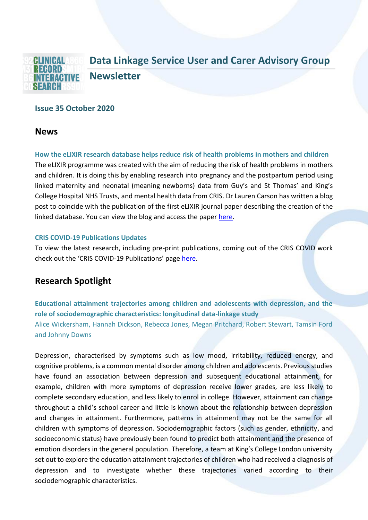

# **Issue 35 October 2020**

# **News**

**How the eLIXIR research database helps reduce risk of health problems in mothers and children** The eLIXIR programme was created with the aim of reducing the risk of health problems in mothers and children. It is doing this by enabling research into pregnancy and the postpartum period using linked maternity and neonatal (meaning newborns) data from Guy's and St Thomas' and King's College Hospital NHS Trusts, and mental health data from CRIS. Dr Lauren Carson has written a blog post to coincide with the publication of the first eLIXIR journal paper describing the creation of the linked database. You can view the blog and access the paper [here.](https://www.maudsleybrc.nihr.ac.uk/posts/2020/october/elixir-research-database-for-mothers-and-children/)

#### **CRIS COVID-19 Publications Updates**

To view the latest research, including pre-print publications, coming out of the CRIS COVID work check out the 'CRIS COVID-19 Publications' page [here.](https://www.maudsleybrc.nihr.ac.uk/facilities/clinical-record-interactive-search-cris/covid-19-publications/)

# **Research Spotlight**

**Educational attainment trajectories among children and adolescents with depression, and the role of sociodemographic characteristics: longitudinal data-linkage study** Alice Wickersham, Hannah Dickson, Rebecca Jones, Megan Pritchard, Robert Stewart, Tamsin Ford and Johnny Downs

Depression, characterised by symptoms such as low mood, irritability, reduced energy, and cognitive problems, is a common mental disorder among children and adolescents. Previous studies have found an association between depression and subsequent educational attainment, for example, children with more symptoms of depression receive lower grades, are less likely to complete secondary education, and less likely to enrol in college. However, attainment can change throughout a child's school career and little is known about the relationship between depression and changes in attainment. Furthermore, patterns in attainment may not be the same for all children with symptoms of depression. Sociodemographic factors (such as gender, ethnicity, and socioeconomic status) have previously been found to predict both attainment and the presence of emotion disorders in the general population. Therefore, a team at King's College London university set out to explore the education attainment trajectories of children who had received a diagnosis of depression and to investigate whether these trajectories varied according to their sociodemographic characteristics.